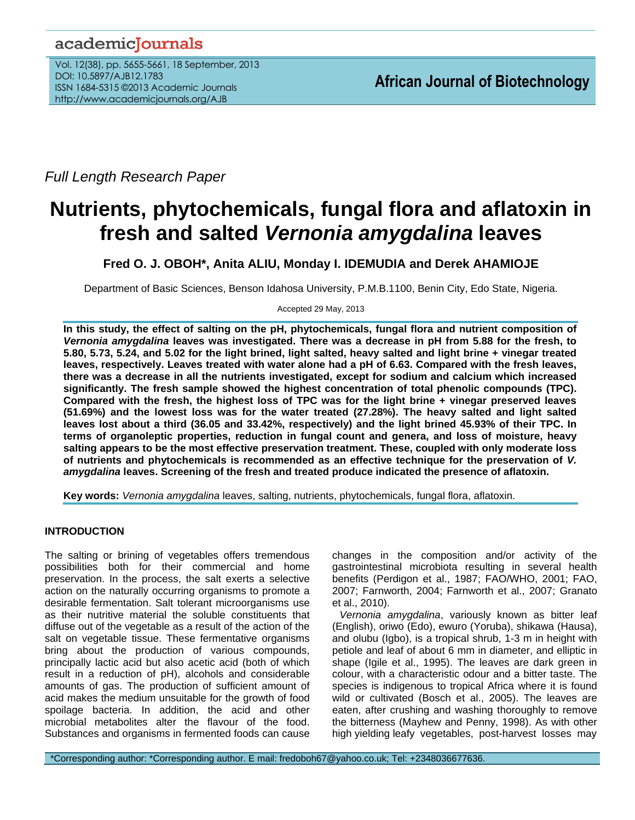## academicJournals

Vol. 12(38), pp. 5655-5661, 18 September, 2013 DOI: 10.5897/AJB12.1783 ISSN 1684-5315 ©2013 Academic Journals http://www.academicjournals.org/AJB

*Full Length Research Paper*

# **Nutrients, phytochemicals, fungal flora and aflatoxin in fresh and salted** *Vernonia amygdalina* **leaves**

**Fred O. J. OBOH\*, Anita ALIU, Monday I. IDEMUDIA and Derek AHAMIOJE**

Department of Basic Sciences, Benson Idahosa University, P.M.B.1100, Benin City, Edo State, Nigeria.

Accepted 29 May, 2013

**In this study, the effect of salting on the pH, phytochemicals, fungal flora and nutrient composition of**  *Vernonia amygdalina* **leaves was investigated. There was a decrease in pH from 5.88 for the fresh, to 5.80, 5.73, 5.24, and 5.02 for the light brined, light salted, heavy salted and light brine + vinegar treated leaves, respectively. Leaves treated with water alone had a pH of 6.63. Compared with the fresh leaves, there was a decrease in all the nutrients investigated, except for sodium and calcium which increased significantly. The fresh sample showed the highest concentration of total phenolic compounds (TPC). Compared with the fresh, the highest loss of TPC was for the light brine + vinegar preserved leaves (51.69%) and the lowest loss was for the water treated (27.28%). The heavy salted and light salted leaves lost about a third (36.05 and 33.42%, respectively) and the light brined 45.93% of their TPC. In terms of organoleptic properties, reduction in fungal count and genera, and loss of moisture, heavy salting appears to be the most effective preservation treatment. These, coupled with only moderate loss of nutrients and phytochemicals is recommended as an effective technique for the preservation of** *V. amygdalina* **leaves. Screening of the fresh and treated produce indicated the presence of aflatoxin.**

**Key words:** *Vernonia amygdalina* leaves, salting, nutrients, phytochemicals, fungal flora, aflatoxin.

### **INTRODUCTION**

The salting or brining of vegetables offers tremendous possibilities both for their commercial and home preservation. In the process, the salt exerts a selective action on the naturally occurring organisms to promote a desirable fermentation. Salt tolerant microorganisms use as their nutritive material the soluble constituents that diffuse out of the vegetable as a result of the action of the salt on vegetable tissue. These fermentative organisms bring about the production of various compounds, principally lactic acid but also acetic acid (both of which result in a reduction of pH), alcohols and considerable amounts of gas. The production of sufficient amount of acid makes the medium unsuitable for the growth of food spoilage bacteria. In addition, the acid and other microbial metabolites alter the flavour of the food. Substances and organisms in fermented foods can cause

changes in the composition and/or activity of the gastrointestinal microbiota resulting in several health benefits (Perdigon et al., 1987; FAO/WHO, 2001; FAO, 2007; Farnworth, 2004; Farnworth et al., 2007; Granato et al., 2010).

*Vernonia amygdalina*, variously known as bitter leaf (English), oriwo (Edo), ewuro (Yoruba), shikawa (Hausa), and olubu (Igbo), is a tropical shrub, 1-3 m in height with petiole and leaf of about 6 mm in diameter, and elliptic in shape (Igile et al., 1995). The leaves are dark green in colour, with a characteristic odour and a bitter taste. The species is indigenous to tropical Africa where it is found wild or cultivated (Bosch et al., 2005). The leaves are eaten, after crushing and washing thoroughly to remove the bitterness (Mayhew and Penny, 1998). As with other high yielding leafy vegetables, post-harvest losses may

\*Corresponding author: \*Corresponding author. E mail: fredoboh67@yahoo.co.uk; Tel: +2348036677636.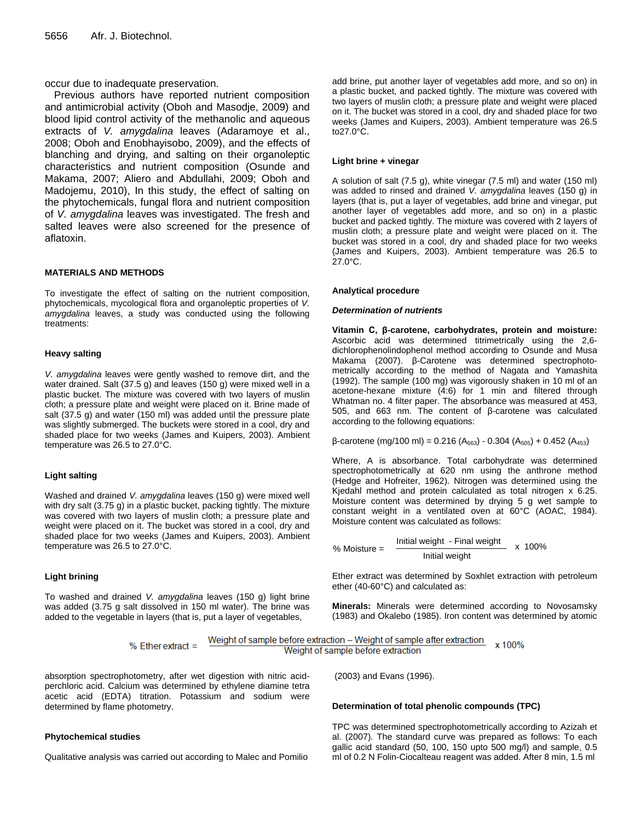occur due to inadequate preservation.

Previous authors have reported nutrient composition and antimicrobial activity (Oboh and Masodje, 2009) and blood lipid control activity of the methanolic and aqueous extracts of *V. amygdalina* leaves (Adaramoye et al., 2008; Oboh and Enobhayisobo, 2009), and the effects of blanching and drying, and salting on their organoleptic characteristics and nutrient composition (Osunde and Makama, 2007; Aliero and Abdullahi, 2009; Oboh and Madojemu, 2010), In this study, the effect of salting on the phytochemicals, fungal flora and nutrient composition of *V. amygdalina* leaves was investigated. The fresh and salted leaves were also screened for the presence of aflatoxin.

#### **MATERIALS AND METHODS**

To investigate the effect of salting on the nutrient composition, phytochemicals, mycological flora and organoleptic properties of *V. amygdalina* leaves, a study was conducted using the following treatments:

#### **Heavy salting**

*V. amygdalina* leaves were gently washed to remove dirt, and the water drained. Salt (37.5 g) and leaves (150 g) were mixed well in a plastic bucket. The mixture was covered with two layers of muslin cloth; a pressure plate and weight were placed on it. Brine made of salt (37.5 g) and water (150 ml) was added until the pressure plate was slightly submerged. The buckets were stored in a cool, dry and shaded place for two weeks (James and Kuipers, 2003). Ambient temperature was 26.5 to 27.0°C.

#### **Light salting**

Washed and drained *V. amygdalina* leaves (150 g) were mixed well with dry salt (3.75 g) in a plastic bucket, packing tightly. The mixture was covered with two layers of muslin cloth; a pressure plate and weight were placed on it. The bucket was stored in a cool, dry and shaded place for two weeks (James and Kuipers, 2003). Ambient temperature was 26.5 to 27.0°C.

#### **Light brining**

To washed and drained *V. amygdalina* leaves (150 g) light brine was added (3.75 g salt dissolved in 150 ml water). The brine was added to the vegetable in layers (that is, put a layer of vegetables,

add brine, put another layer of vegetables add more, and so on) in a plastic bucket, and packed tightly. The mixture was covered with two layers of muslin cloth; a pressure plate and weight were placed on it. The bucket was stored in a cool, dry and shaded place for two weeks (James and Kuipers, 2003). Ambient temperature was 26.5 to27.0°C.

#### **Light brine + vinegar**

A solution of salt (7.5 g), white vinegar (7.5 ml) and water (150 ml) was added to rinsed and drained *V. amygdalina* leaves (150 g) in layers (that is, put a layer of vegetables, add brine and vinegar, put another layer of vegetables add more, and so on) in a plastic bucket and packed tightly. The mixture was covered with 2 layers of muslin cloth; a pressure plate and weight were placed on it. The bucket was stored in a cool, dry and shaded place for two weeks (James and Kuipers, 2003). Ambient temperature was 26.5 to 27.0°C.

#### **Analytical procedure**

#### *Determination of nutrients*

**Vitamin C, β-carotene, carbohydrates, protein and moisture:**  Ascorbic acid was determined titrimetrically using the 2,6 dichlorophenolindophenol method according to Osunde and Musa Makama (2007). β-Carotene was determined spectrophotometrically according to the method of Nagata and Yamashita (1992). The sample (100 mg) was vigorously shaken in 10 ml of an acetone-hexane mixture (4:6) for 1 min and filtered through Whatman no. 4 filter paper. The absorbance was measured at 453, 505, and 663 nm. The content of β-carotene was calculated according to the following equations:

 $\beta$ -carotene (mg/100 ml) = 0.216 (A<sub>663</sub>) - 0.304 (A<sub>505</sub>) + 0.452 (A<sub>453</sub>)

Where, A is absorbance. Total carbohydrate was determined spectrophotometrically at 620 nm using the anthrone method (Hedge and Hofreiter, 1962). Nitrogen was determined using the Kjedahl method and protein calculated as total nitrogen x 6.25. Moisture content was determined by drying 5 g wet sample to constant weight in a ventilated oven at 60°C (AOAC, 1984). Moisture content was calculated as follows:

$$
5) = \frac{3}{2}
$$

Ether extract was determined by Soxhlet extraction with petroleum ether (40-60°C) and calculated as:

**Minerals:** Minerals were determined according to Novosamsky (1983) and Okalebo (1985). Iron content was determined by atomic

$$
\% \text{ Ethernet extract} = \frac{\text{Weight of sample before extraction} - \text{Weight of sample after extraction}}{\text{Weight of sample before extraction}} \times 100\%
$$

absorption spectrophotometry, after wet digestion with nitric acidperchloric acid. Calcium was determined by ethylene diamine tetra acetic acid (EDTA) titration. Potassium and sodium were determined by flame photometry.

#### **Phytochemical studies**

Qualitative analysis was carried out according to Malec and Pomilio

(2003) and Evans (1996).

#### **Determination of total phenolic compounds (TPC)**

TPC was determined spectrophotometrically according to Azizah et al. (2007)*.* The standard curve was prepared as follows: To each gallic acid standard (50, 100, 150 upto 500 mg/l) and sample, 0.5 ml of 0.2 N Folin-Ciocalteau reagent was added. After 8 min, 1.5 ml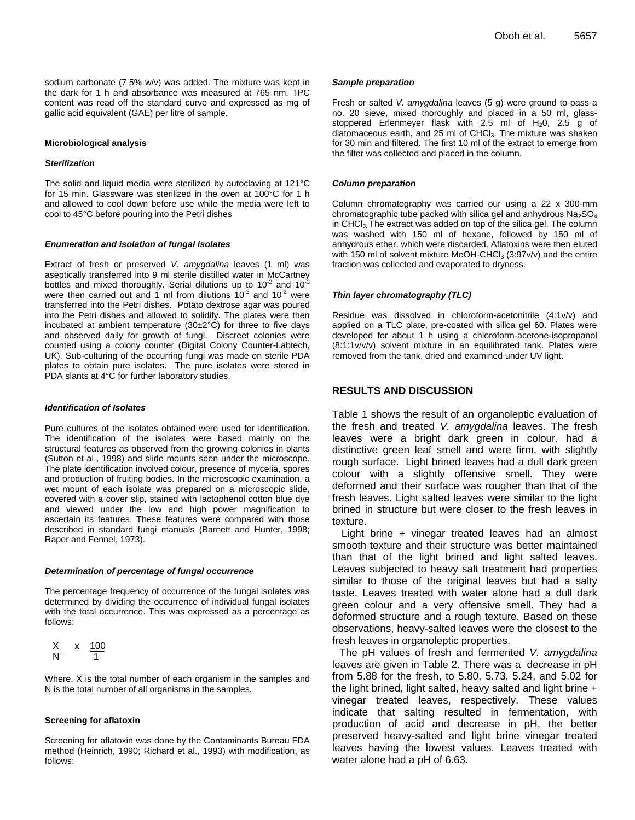sodium carbonate (7.5% w/v) was added. The mixture was kept in the dark for 1 h and absorbance was measured at 765 nm. TPC content was read off the standard curve and expressed as mg of gallic acid equivalent (GAE) per litre of sample.

#### **Microbiological analysis**

#### *Sterilization*

The solid and liquid media were sterilized by autoclaving at 121°C for 15 min. Glassware was sterilized in the oven at 100°C for 1 h and allowed to cool down before use while the media were left to cool to 45°C before pouring into the Petri dishes

#### *Enumeration and isolation of fungal isolates*

Extract of fresh or preserved *V. amygdalina* leaves (1 ml) was aseptically transferred into 9 ml sterile distilled water in McCartney bottles and mixed thoroughly. Serial dilutions up to 10<sup>-2</sup> and 10<sup>-3</sup> were then carried out and 1 ml from dilutions  $10^{-2}$  and  $10^{-3}$  were transferred into the Petri dishes. Potato dextrose agar was poured into the Petri dishes and allowed to solidify. The plates were then incubated at ambient temperature (30±2°C) for three to five days and observed daily for growth of fungi. Discreet colonies were counted using a colony counter (Digital Colony Counter-Labtech, UK). Sub-culturing of the occurring fungi was made on sterile PDA plates to obtain pure isolates. The pure isolates were stored in PDA slants at 4°C for further laboratory studies.

#### *Identification of Isolates*

Pure cultures of the isolates obtained were used for identification. The identification of the isolates were based mainly on the structural features as observed from the growing colonies in plants (Sutton et al., 1998) and slide mounts seen under the microscope. The plate identification involved colour, presence of mycelia, spores and production of fruiting bodies. In the microscopic examination, a wet mount of each isolate was prepared on a microscopic slide, covered with a cover slip, stained with lactophenol cotton blue dye and viewed under the low and high power magnification to ascertain its features. These features were compared with those described in standard fungi manuals (Barnett and Hunter, 1998; Raper and Fennel, 1973).

#### *Determination of percentage of fungal occurrence*

The percentage frequency of occurrence of the fungal isolates was determined by dividing the occurrence of individual fungal isolates with the total occurrence. This was expressed as a percentage as follows:

$$
\frac{X}{N} \times \frac{100}{1}
$$

Where, X is the total number of each organism in the samples and N is the total number of all organisms in the samples.

#### **Screening for aflatoxin**

Screening for aflatoxin was done by the Contaminants Bureau FDA method (Heinrich, 1990; Richard et al., 1993) with modification, as follows:

#### *Sample preparation*

Fresh or salted *V. amygdalina* leaves (5 g) were ground to pass a no. 20 sieve, mixed thoroughly and placed in a 50 ml, glassstoppered Erlenmeyer flask with 2.5 ml of  $H_2$ 0, 2.5 g of diatomaceous earth, and 25 ml of CHCl<sub>3</sub>. The mixture was shaken for 30 min and filtered. The first 10 ml of the extract to emerge from the filter was collected and placed in the column.

#### *Column preparation*

Column chromatography was carried our using a 22 x 300-mm chromatographic tube packed with silica gel and anhydrous  $Na<sub>2</sub>SO<sub>4</sub>$ in CHCl3. The extract was added on top of the silica gel. The column was washed with 150 ml of hexane, followed by 150 ml of anhydrous ether, which were discarded. Aflatoxins were then eluted with 150 ml of solvent mixture MeOH-CHCl<sub>3</sub> (3:97v/v) and the entire fraction was collected and evaporated to dryness.

#### *Thin layer chromatography (TLC)*

Residue was dissolved in chloroform-acetonitrile (4:1v/v) and applied on a TLC plate, pre-coated with silica gel 60. Plates were developed for about 1 h using a chloroform-acetone-isopropanol (8:1:1v/v/v) solvent mixture in an equilibrated tank. Plates were removed from the tank, dried and examined under UV light.

#### **RESULTS AND DISCUSSION**

Table 1 shows the result of an organoleptic evaluation of the fresh and treated *V. amygdalina* leaves. The fresh leaves were a bright dark green in colour, had a distinctive green leaf smell and were firm, with slightly rough surface. Light brined leaves had a dull dark green colour with a slightly offensive smell. They were deformed and their surface was rougher than that of the fresh leaves. Light salted leaves were similar to the light brined in structure but were closer to the fresh leaves in texture.

Light brine + vinegar treated leaves had an almost smooth texture and their structure was better maintained than that of the light brined and light salted leaves. Leaves subjected to heavy salt treatment had properties similar to those of the original leaves but had a salty taste. Leaves treated with water alone had a dull dark green colour and a very offensive smell. They had a deformed structure and a rough texture. Based on these observations, heavy-salted leaves were the closest to the fresh leaves in organoleptic properties.

The pH values of fresh and fermented *V. amygdalina* leaves are given in Table 2. There was a decrease in pH from 5.88 for the fresh, to 5.80, 5.73, 5.24, and 5.02 for the light brined, light salted, heavy salted and light brine + vinegar treated leaves, respectively. These values indicate that salting resulted in fermentation, with production of acid and decrease in pH, the better preserved heavy-salted and light brine vinegar treated leaves having the lowest values. Leaves treated with water alone had a pH of 6.63.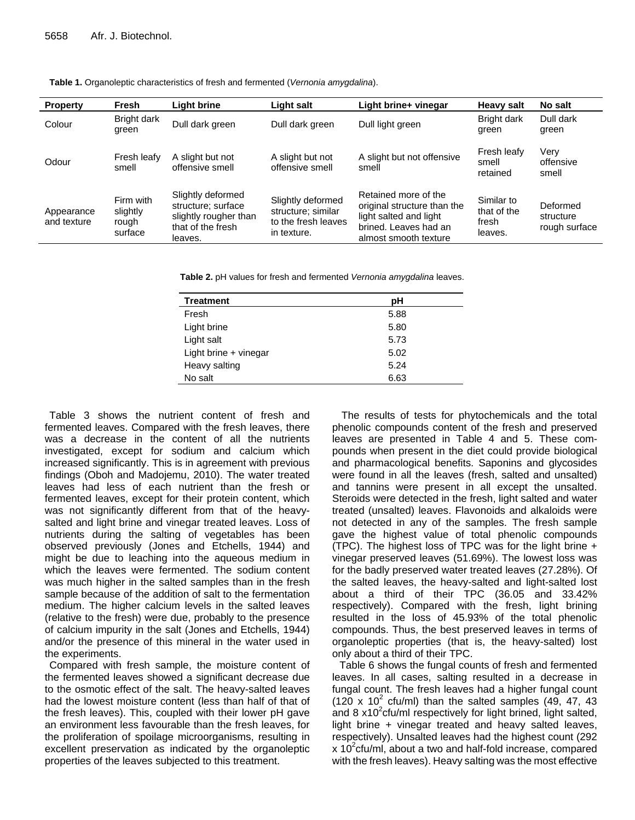| <b>Property</b>           | Fresh                                     | <b>Light brine</b>                                                                               | Light salt                                                                    | Light brine+ vinegar                                                                                                            | <b>Heavy salt</b>                             | No salt                                |
|---------------------------|-------------------------------------------|--------------------------------------------------------------------------------------------------|-------------------------------------------------------------------------------|---------------------------------------------------------------------------------------------------------------------------------|-----------------------------------------------|----------------------------------------|
| Colour                    | Bright dark<br>green                      | Dull dark green                                                                                  | Dull dark green                                                               | Dull light green                                                                                                                | Bright dark<br>green                          | Dull dark<br>green                     |
| Odour                     | Fresh leafy<br>smell                      | A slight but not<br>offensive smell                                                              | A slight but not<br>offensive smell                                           | A slight but not offensive<br>smell                                                                                             | Fresh leafy<br>smell<br>retained              | Very<br>offensive<br>smell             |
| Appearance<br>and texture | Firm with<br>slightly<br>rough<br>surface | Slightly deformed<br>structure; surface<br>slightly rougher than<br>that of the fresh<br>leaves. | Slightly deformed<br>structure; similar<br>to the fresh leaves<br>in texture. | Retained more of the<br>original structure than the<br>light salted and light<br>brined. Leaves had an<br>almost smooth texture | Similar to<br>that of the<br>fresh<br>leaves. | Deformed<br>structure<br>rough surface |

**Table 1.** Organoleptic characteristics of fresh and fermented (*Vernonia amygdalina*).

**Table 2.** pH values for fresh and fermented *Vernonia amygdalina* leaves.

| <b>Treatment</b>      | рH   |  |
|-----------------------|------|--|
| Fresh                 | 5.88 |  |
| Light brine           | 5.80 |  |
| Light salt            | 5.73 |  |
| Light brine + vinegar | 5.02 |  |
| Heavy salting         | 5.24 |  |
| No salt               | 6.63 |  |

Table 3 shows the nutrient content of fresh and fermented leaves. Compared with the fresh leaves, there was a decrease in the content of all the nutrients investigated, except for sodium and calcium which increased significantly. This is in agreement with previous findings (Oboh and Madojemu, 2010). The water treated leaves had less of each nutrient than the fresh or fermented leaves, except for their protein content, which was not significantly different from that of the heavysalted and light brine and vinegar treated leaves. Loss of nutrients during the salting of vegetables has been observed previously (Jones and Etchells, 1944) and might be due to leaching into the aqueous medium in which the leaves were fermented. The sodium content was much higher in the salted samples than in the fresh sample because of the addition of salt to the fermentation medium. The higher calcium levels in the salted leaves (relative to the fresh) were due, probably to the presence of calcium impurity in the salt (Jones and Etchells, 1944) and/or the presence of this mineral in the water used in the experiments.

Compared with fresh sample, the moisture content of the fermented leaves showed a significant decrease due to the osmotic effect of the salt. The heavy-salted leaves had the lowest moisture content (less than half of that of the fresh leaves). This, coupled with their lower pH gave an environment less favourable than the fresh leaves, for the proliferation of spoilage microorganisms, resulting in excellent preservation as indicated by the organoleptic properties of the leaves subjected to this treatment.

The results of tests for phytochemicals and the total phenolic compounds content of the fresh and preserved leaves are presented in Table 4 and 5. These compounds when present in the diet could provide biological and pharmacological benefits. Saponins and glycosides were found in all the leaves (fresh, salted and unsalted) and tannins were present in all except the unsalted. Steroids were detected in the fresh, light salted and water treated (unsalted) leaves. Flavonoids and alkaloids were not detected in any of the samples. The fresh sample gave the highest value of total phenolic compounds (TPC). The highest loss of TPC was for the light brine + vinegar preserved leaves (51.69%). The lowest loss was for the badly preserved water treated leaves (27.28%). Of the salted leaves, the heavy-salted and light-salted lost about a third of their TPC (36.05 and 33.42% respectively). Compared with the fresh, light brining resulted in the loss of 45.93% of the total phenolic compounds. Thus, the best preserved leaves in terms of organoleptic properties (that is, the heavy-salted) lost only about a third of their TPC.

Table 6 shows the fungal counts of fresh and fermented leaves. In all cases, salting resulted in a decrease in fungal count. The fresh leaves had a higher fungal count  $(120 \times 10^2 \text{ cftu/ml})$  than the salted samples  $(49, 47, 43)$ and 8 x10<sup>2</sup> cfu/ml respectively for light brined, light salted, light brine + vinegar treated and heavy salted leaves, respectively). Unsalted leaves had the highest count (292  $x$  10<sup>2</sup> cfu/ml, about a two and half-fold increase, compared with the fresh leaves). Heavy salting was the most effective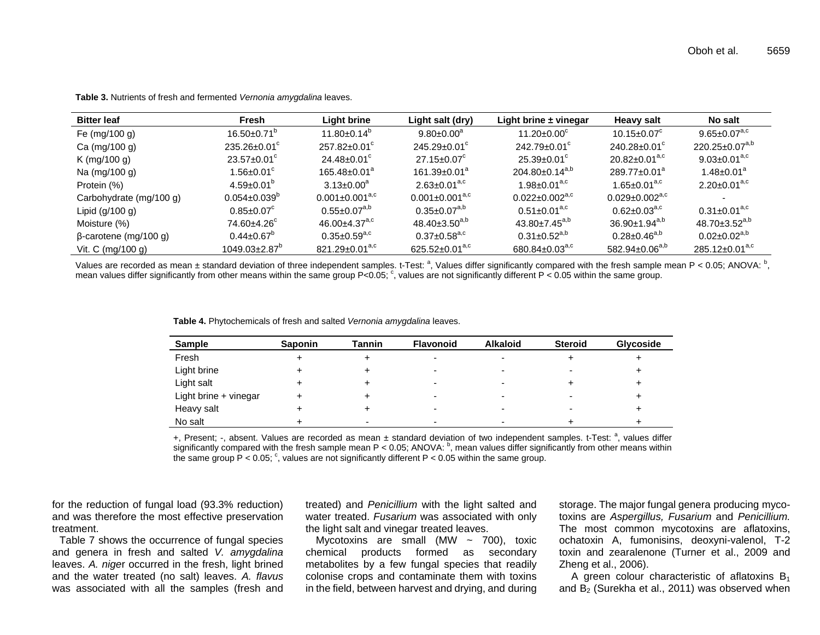| <b>Bitter leaf</b>           | Fresh                           | Light brine                     | Light salt (dry)               | Light brine $\pm$ vinegar        | Heavy salt                       | No salt                         |
|------------------------------|---------------------------------|---------------------------------|--------------------------------|----------------------------------|----------------------------------|---------------------------------|
| Fe $(mg/100 g)$              | $16.50 \pm 0.71$ <sup>o</sup>   | $11.80 \pm 0.14^{\circ}$        | $9.80 \pm 0.00^a$              | $11.20 \pm 0.00^{\circ}$         | $10.15 \pm 0.07^c$               | 9.65 $\pm$ 0.07 <sup>a,c</sup>  |
| Ca (mg/100 g)                | $235.26 \pm 0.01^{\circ}$       | $257.82 \pm 0.01^{\circ}$       | $245.29 \pm 0.01^{\circ}$      | $242.79 \pm 0.01$ <sup>c</sup>   | $240.28 \pm 0.01$ <sup>c</sup>   | $220.25 \pm 0.07^{a,b}$         |
| K (mg/100 g)                 | $23.57 \pm 0.01^{\circ}$        | $24.48 \pm 0.01$ <sup>c</sup>   | $27.15 \pm 0.07^c$             | $25.39 \pm 0.01^{\circ}$         | $20.82 \pm 0.01$ <sup>a,c</sup>  | 9.03 $\pm$ 0.01 <sup>a,c</sup>  |
| Na (mg/100 g)                | 1.56±0.01 $^{\circ}$            | $165.48 \pm 0.01^a$             | $161.39 \pm 0.01^a$            | $204.80 \pm 0.14^{a,b}$          | $289.77 \pm 0.01^a$              | $1.48 \pm 0.01^a$               |
| Protein (%)                  | $4.59 \pm 0.01^{\circ}$         | $3.13 \pm 0.00^a$               | $2.63 \pm 0.01^{a,c}$          | $1.98 \pm 0.01^{a,c}$            | $1.65 \pm 0.01^{a,c}$            | $2.20 \pm 0.01^{a,c}$           |
| Carbohydrate (mg/100 g)      | $0.054 \pm 0.039^{\circ}$       | $0.001 \pm 0.001^{a,c}$         | $0.001 \pm 0.001^{a,c}$        | $0.022 \pm 0.002$ <sup>a,c</sup> | $0.029 \pm 0.002$ <sup>a,c</sup> |                                 |
| Lipid $(g/100 g)$            | $0.85 \pm 0.07^c$               | $0.55 \pm 0.07^{a,b}$           | $0.35 \pm 0.07^{a,b}$          | $0.51 \pm 0.01^{a,c}$            | $0.62 \pm 0.03$ <sup>a,c</sup>   | $0.31 \pm 0.01$ <sup>a,c</sup>  |
| Moisture (%)                 | $74.60 + 4.26^c$                | $46.00 \pm 4.37$ <sup>a,c</sup> | $48.40 \pm 3.50^{a,b}$         | $43.80 \pm 7.45^{a,b}$           | $36.90 \pm 1.94$ <sup>a,b</sup>  | $48.70 \pm 3.52$ <sup>a,b</sup> |
| $\beta$ -carotene (mg/100 g) | $0.44 \pm 0.67$ <sup>o</sup>    | $0.35 \pm 0.59^{a,c}$           | $0.37 \pm 0.58$ <sup>a,c</sup> | $0.31 \pm 0.52$ <sup>a,b</sup>   | $0.28 \pm 0.46$ <sup>a,b</sup>   | $0.02 \pm 0.02$ <sup>a,b</sup>  |
| Vit. C $(mg/100 g)$          | $1049.03 \pm 2.87$ <sup>o</sup> | $821.29 \pm 0.01^{a,c}$         | $625.52 \pm 0.01^{a,c}$        | $680.84 \pm 0.03$ <sup>a,c</sup> | $582.94 \pm 0.06^{a,b}$          | $285.12 \pm 0.01^{a,c}$         |

**Table 3.** Nutrients of fresh and fermented *Vernonia amygdalina* leaves.

Values are recorded as mean ± standard deviation of three independent samples. t-Test:  $a$ , Values differ significantly compared with the fresh sample mean P < 0.05; ANOVA:  $b$ , mean values differ significantly from other means within the same group P<0.05;  $\degree$ , values are not significantly different P < 0.05 within the same group.

|  |  | Table 4. Phytochemicals of fresh and salted Vernonia amygdalina leaves. |
|--|--|-------------------------------------------------------------------------|
|--|--|-------------------------------------------------------------------------|

| <b>Sample</b>         | <b>Saponin</b> | <b>Tannin</b> | <b>Flavonoid</b>         | <b>Alkaloid</b> | <b>Steroid</b>           | <b>Glycoside</b> |
|-----------------------|----------------|---------------|--------------------------|-----------------|--------------------------|------------------|
| Fresh                 |                |               | -                        |                 |                          |                  |
| Light brine           |                |               | $\overline{\phantom{0}}$ | -               |                          |                  |
| Light salt            |                |               | -                        |                 |                          |                  |
| Light brine + vinegar |                |               | -                        | -               | $\overline{\phantom{0}}$ |                  |
| Heavy salt            |                |               | -                        | -               | -                        |                  |
| No salt               |                |               | -                        |                 |                          |                  |

+, Present; -, absent. Values are recorded as mean ± standard deviation of two independent samples. t-Test: <sup>a</sup>, values differ significantly compared with the fresh sample mean P < 0.05; ANOVA:  $^b$ , mean values differ significantly from other means within the same group  $P < 0.05$ ;  $\degree$ , values are not significantly different P < 0.05 within the same group.

for the reduction of fungal load (93.3% reduction) and was therefore the most effective preservation treatment.

Table 7 shows the occurrence of fungal species and genera in fresh and salted *V. amygdalina* leaves. *A. nige*r occurred in the fresh, light brined and the water treated (no salt) leaves. *A. flavus* was associated with all the samples (fresh and

treated) and *Penicillium* with the light salted and water treated. *Fusarium* was associated with only the light salt and vinegar treated leaves.

Mycotoxins are small (MW  $\sim$  700), toxic chemical products formed as secondary metabolites by a few fungal species that readily colonise crops and contaminate them with toxins in the field, between harvest and drying, and during

storage. The major fungal genera producing mycotoxins are *Aspergillus, Fusarium* and *Penicillium.* The most common mycotoxins are aflatoxins, ochatoxin A, fumonisins, deoxyni-valenol, T-2 toxin and zearalenone (Turner et al., 2009 and Zheng et al., 2006).

A green colour characteristic of aflatoxins  $B_1$ and  $B_2$  (Surekha et al., 2011) was observed when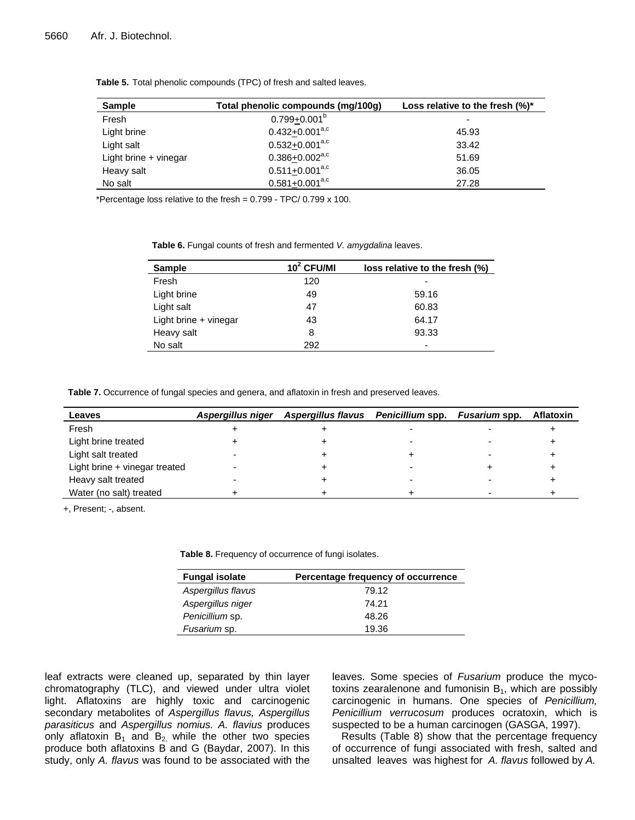| <b>Sample</b>         | Total phenolic compounds (mg/100g) | Loss relative to the fresh $(\%)^*$ |
|-----------------------|------------------------------------|-------------------------------------|
| Fresh                 | $0.799 + 0.001^b$                  | -                                   |
| Light brine           | $0.432 + 0.001^{a,c}$              | 45.93                               |
| Light salt            | $0.532+0.001^{a,c}$                | 33.42                               |
| Light brine + vinegar | $0.386 + 0.002$ <sup>a,c</sup>     | 51.69                               |
| Heavy salt            | $0.511+0.001^{a,c}$                | 36.05                               |
| No salt               | $0.581+0.001^{a,c}$                | 27.28                               |

**Table 5.** Total phenolic compounds (TPC) of fresh and salted leaves.

\*Percentage loss relative to the fresh = 0.799 - TPC/ 0.799 x 100.

**Table 6.** Fungal counts of fresh and fermented *V. amygdalina* leaves.

| <b>Sample</b>         | $102$ CFU/MI | loss relative to the fresh (%) |  |
|-----------------------|--------------|--------------------------------|--|
| Fresh                 | 120          |                                |  |
| Light brine           | 49           | 59.16                          |  |
| Light salt            | 47           | 60.83                          |  |
| Light brine + vinegar | 43           | 64.17                          |  |
| Heavy salt            | 8            | 93.33                          |  |
| No salt               | 292          | -                              |  |

**Table 7.** Occurrence of fungal species and genera, and aflatoxin in fresh and preserved leaves.

| Leaves                        | Aspergillus niger | Aspergillus flavus Penicillium spp. Fusarium spp. |  | Aflatoxin |
|-------------------------------|-------------------|---------------------------------------------------|--|-----------|
| Fresh                         |                   |                                                   |  |           |
| Light brine treated           |                   |                                                   |  |           |
| Light salt treated            |                   |                                                   |  |           |
| Light brine + vinegar treated |                   |                                                   |  |           |
| Heavy salt treated            |                   |                                                   |  |           |
| Water (no salt) treated       |                   |                                                   |  |           |

+, Present; -, absent.

**Table 8.** Frequency of occurrence of fungi isolates.

| <b>Fungal isolate</b> | Percentage frequency of occurrence |
|-----------------------|------------------------------------|
| Aspergillus flavus    | 79.12                              |
| Aspergillus niger     | 74.21                              |
| Penicillium sp.       | 48.26                              |
| Fusarium sp.          | 19.36                              |

leaf extracts were cleaned up, separated by thin layer chromatography (TLC), and viewed under ultra violet light. Aflatoxins are highly toxic and carcinogenic secondary metabolites of *Aspergillus flavus, Aspergillus parasiticus* and *Aspergillus nomius. A. flavius* produces only aflatoxin  $B_1$  and  $B_2$  while the other two species produce both aflatoxins B and G (Baydar, 2007). In this study, only *A. flavus* was found to be associated with the leaves. Some species of *Fusarium* produce the mycotoxins zearalenone and fumonisin  $B_1$ , which are possibly carcinogenic in humans. One species of *Penicillium, Penicillium verrucosum* produces ocratoxin, which is suspected to be a human carcinogen (GASGA, 1997).

Results (Table 8) show that the percentage frequency of occurrence of fungi associated with fresh, salted and unsalted leaves was highest for *A. flavus* followed by *A.*